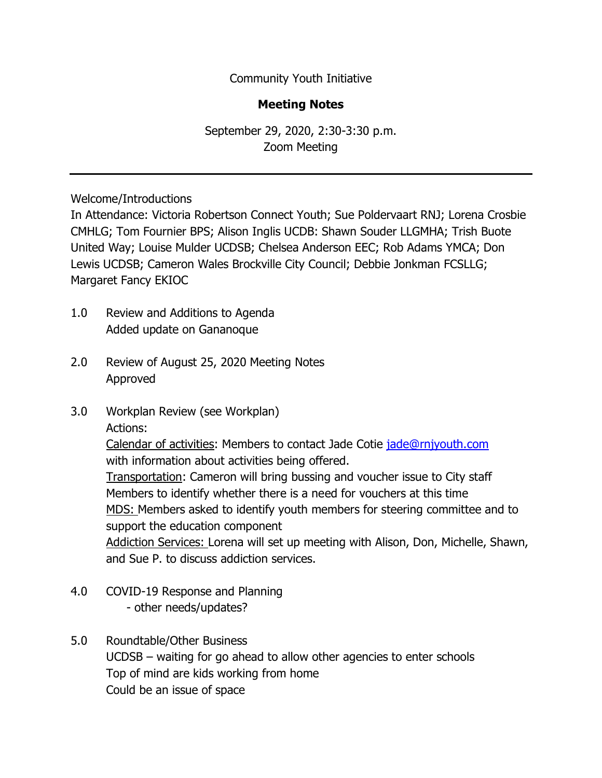Community Youth Initiative

## **Meeting Notes**

September 29, 2020, 2:30-3:30 p.m. Zoom Meeting

Welcome/Introductions

In Attendance: Victoria Robertson Connect Youth; Sue Poldervaart RNJ; Lorena Crosbie CMHLG; Tom Fournier BPS; Alison Inglis UCDB: Shawn Souder LLGMHA; Trish Buote United Way; Louise Mulder UCDSB; Chelsea Anderson EEC; Rob Adams YMCA; Don Lewis UCDSB; Cameron Wales Brockville City Council; Debbie Jonkman FCSLLG; Margaret Fancy EKIOC

- 1.0 Review and Additions to Agenda Added update on Gananoque
- 2.0 Review of August 25, 2020 Meeting Notes Approved
- 3.0 Workplan Review (see Workplan) Actions:

Calendar of activities: Members to contact Jade Cotie [jade@rnjyouth.com](mailto:jade@rnjyouth.com) with information about activities being offered.

Transportation: Cameron will bring bussing and voucher issue to City staff Members to identify whether there is a need for vouchers at this time MDS: Members asked to identify youth members for steering committee and to support the education component

Addiction Services: Lorena will set up meeting with Alison, Don, Michelle, Shawn, and Sue P. to discuss addiction services.

- 4.0 COVID-19 Response and Planning - other needs/updates?
- 5.0 Roundtable/Other Business UCDSB – waiting for go ahead to allow other agencies to enter schools Top of mind are kids working from home Could be an issue of space